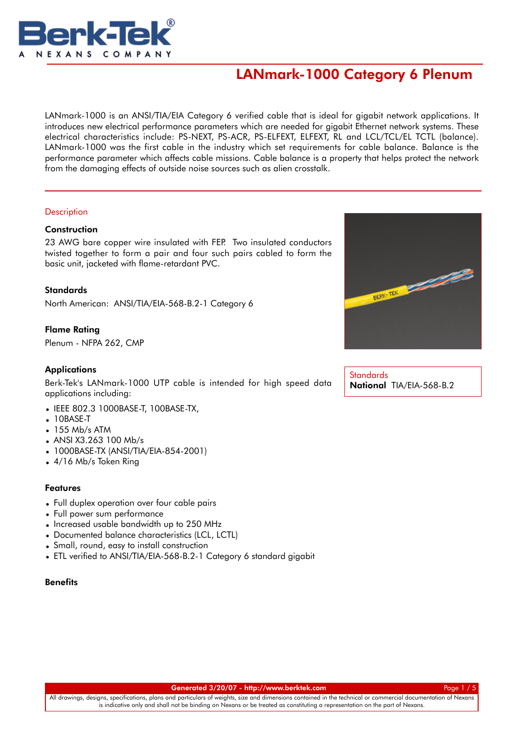

LANmark-1000 is an ANSI/TIA/EIA Category 6 verified cable that is ideal for gigabit network applications. It introduces new electrical performance parameters which are needed for gigabit Ethernet network systems. These electrical characteristics include: PS-NEXT, PS-ACR, PS-ELFEXT, ELFEXT, RL and LCL/TCL/EL TCTL (balance). LANmark-1000 was the first cable in the industry which set requirements for cable balance. Balance is the performance parameter which affects cable missions. Cable balance is a property that helps protect the network from the damaging effects of outside noise sources such as alien crosstalk.

### **Description**

### **Construction**

23 AWG bare copper wire insulated with FEP. Two insulated conductors twisted together to form a pair and four such pairs cabled to form the basic unit, jacketed with flame-retardant PVC.

**Standards** North American: ANSI/TIA/EIA-568-B.2-1 Category 6

Flame Rating

Plenum - NFPA 262, CMP

## **Applications**

Berk-Tek's LANmark-1000 UTP cable is intended for high speed data applications including:

- IEEE 802.3 1000BASE-T, 100BASE-TX,
- 10BASE-T
- $\bullet$  155 Mb/s ATM
- ANSI X3.263 100 Mb/s
- 1000BASE-TX (ANSI/TIA/EIA-854-2001)
- 4/16 Mb/s Token Ring

## Features

- Full duplex operation over four cable pairs
- Full power sum performance
- Increased usable bandwidth up to 250 MHz
- Documented balance characteristics (LCL, LCTL)
- Small, round, easy to install construction
- ETL verified to ANSI/TIA/EIA-568-B.2-1 Category 6 standard gigabit

### **Benefits**



**Standards** National TIA/EIA-568-B.2

Generated 3/20/07 - [http://www.berktek.com](http://www.nexans.com/eservice/DirectToFamily.nx?CZ=null&language=en&OID=5244) Page 1 / 5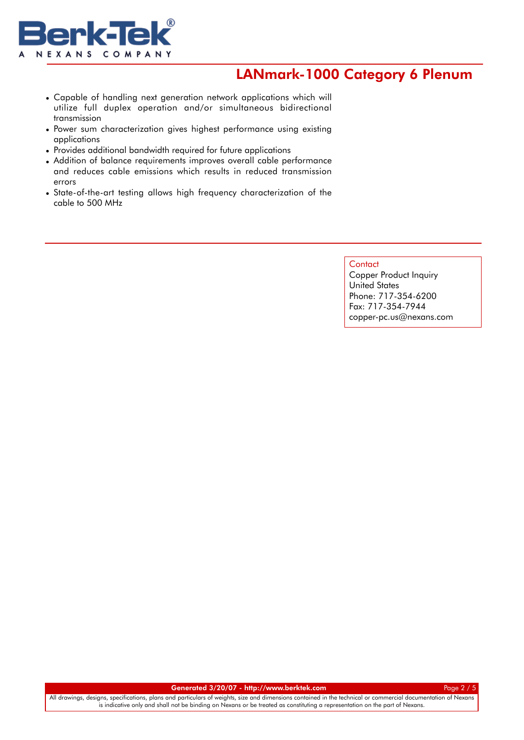

- Capable of handling next generation network applications which will utilize full duplex operation and/or simultaneous bidirectional transmission
- Power sum characterization gives highest performance using existing applications
- Provides additional bandwidth required for future applications
- Addition of balance requirements improves overall cable performance and reduces cable emissions which results in reduced transmission errors •
- State-of-the-art testing allows high frequency characterization of the cable to 500 MHz

#### **Contact**

Copper Product Inquiry United States Phone: 717-354-6200 Fax: 717-354-7944 copper-pc.us@nexans.com

Generated 3/20/07 - [http://www.berktek.com](http://www.nexans.com/eservice/DirectToFamily.nx?CZ=null&language=en&OID=5244) Page 2 / 5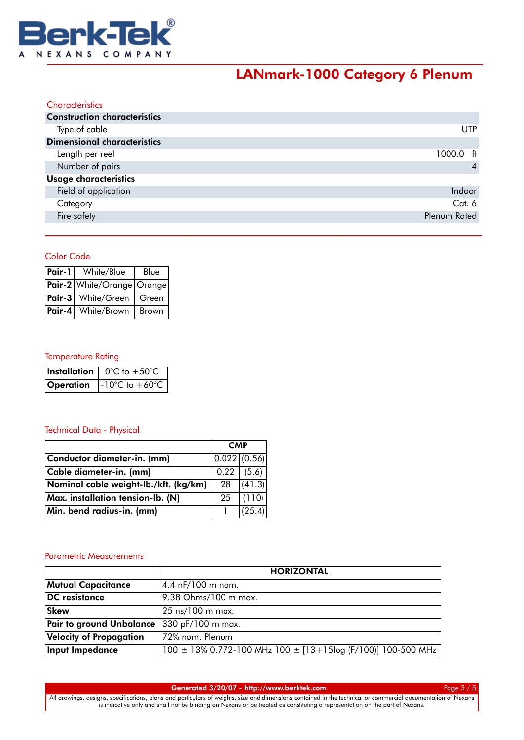

| Characteristics                     |                     |
|-------------------------------------|---------------------|
| <b>Construction characteristics</b> |                     |
| Type of cable                       | <b>UTP</b>          |
| <b>Dimensional characteristics</b>  |                     |
| Length per reel                     | $1000.0 \text{ ft}$ |
| Number of pairs                     | $\overline{4}$      |
| Usage characteristics               |                     |
| Field of application                | Indoor              |
| Category                            | Cat. 6              |
| Fire safety                         | Plenum Rated        |

# Color Code

| Pair-1 | White/Blue                 | Blue  |
|--------|----------------------------|-------|
|        | Pair-2 White/Orange Orange |       |
|        | Pair-3   White/Green       | Green |
| Pair-4 | White/Brown                | Brown |

## Temperature Rating

|           | <b>Installation</b> $\int 0^{\circ}C$ to $+50^{\circ}C$                |
|-----------|------------------------------------------------------------------------|
| Operation | $\left  -10^{\circ} \text{C} \text{ to } +60^{\circ} \text{C} \right $ |

## Technical Data - Physical

|                                       | <b>CMP</b>                       |        |
|---------------------------------------|----------------------------------|--------|
| Conductor diameter-in. (mm)           | $\vert 0.022 \vert (0.56) \vert$ |        |
| Cable diameter-in. (mm)               | 0.22                             | (5.6)  |
| Nominal cable weight-lb./kft. (kg/km) | 28                               | (41.3) |
| Max. installation tension-lb. (N)     | 25                               | (110)  |
| Min. bend radius-in. (mm)             |                                  | (25.4) |

## Parametric Measurements

|                                | <b>HORIZONTAL</b>                                            |  |  |  |  |
|--------------------------------|--------------------------------------------------------------|--|--|--|--|
| <b>Mutual Capacitance</b>      | 4.4 $nF/100$ m nom.                                          |  |  |  |  |
| <b>DC</b> resistance           | 9.38 Ohms/100 m max.                                         |  |  |  |  |
| <b>Skew</b>                    | 25 ns/100 m max.                                             |  |  |  |  |
| Pair to ground Unbalance       | $ 330 \text{ pF}/100 \text{ m} \text{ max.}$                 |  |  |  |  |
| <b>Velocity of Propagation</b> | 72% nom. Plenum                                              |  |  |  |  |
| Input Impedance                | 100 ± 13% 0.772-100 MHz 100 ± [13+15log (F/100)] 100-500 MHz |  |  |  |  |

Generated 3/20/07 - [http://www.berktek.com](http://www.nexans.com/eservice/DirectToFamily.nx?CZ=null&language=en&OID=5244) Page 3 / 5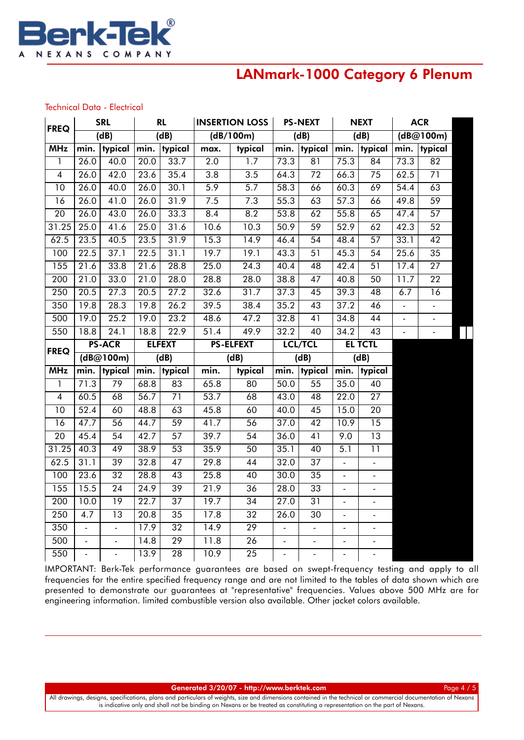

#### Technical Data - Electrical

| <b>FREQ</b>              | <b>SRL</b>                 |                   | <b>RL</b>         |                       | <b>INSERTION LOSS</b> |                                    | <b>PS-NEXT</b> |                 | <b>NEXT</b>              |                          | <b>ACR</b>     |                 |
|--------------------------|----------------------------|-------------------|-------------------|-----------------------|-----------------------|------------------------------------|----------------|-----------------|--------------------------|--------------------------|----------------|-----------------|
|                          | $\overline{(\mathsf{dB})}$ |                   | (d)               |                       | (dB/100m)             |                                    | (dB)           |                 | (dB)                     |                          | (dB@100m)      |                 |
| <b>MHz</b>               | min.                       | typical           | min.              | typical               | max.                  | typical                            | min.           | typical         | min.                     | typical                  | min.           | typical         |
| 1                        | 26.0                       | 40.0              | 20.0              | 33.7                  | $\overline{2.0}$      | $\overline{1.7}$                   | 73.3           | $\overline{81}$ | 75.3                     | 84                       | 73.3           | $\overline{82}$ |
| $\overline{\mathbf{4}}$  | $\overline{26.0}$          | 42.0              | 23.6              | 35.4                  | 3.8                   | 3.5                                | 64.3           | $\overline{72}$ | 66.3                     | 75                       | 62.5           | 71              |
| 10                       | 26.0                       | 40.0              | 26.0              | 30.1                  | 5.9                   | 5.7                                | 58.3           | 66              | 60.3                     | 69                       | 54.4           | 63              |
| 16                       | $\overline{26.0}$          | 41.0              | 26.0              | 31.9                  | 7.5                   | 7.3                                | 55.3           | 63              | 57.3                     | 66                       | 49.8           | 59              |
| 20                       | 26.0                       | 43.0              | 26.0              | 33.3                  | 8.4                   | 8.2                                | 53.8           | 62              | 55.8                     | 65                       | 47.4           | 57              |
| 31.25                    | 25.0                       | 41.6              | 25.0              | 31.6                  | 10.6                  | 10.3                               | 50.9           | 59              | 52.9                     | 62                       | 42.3           | 52              |
| 62.5                     | 23.5                       | 40.5              | 23.5              | 31.9                  | 15.3                  | 14.9                               | 46.4           | $\overline{54}$ | 48.4                     | 57                       | 33.1           | 42              |
| 100                      | 22.5                       | 37.1              | 22.5              | 31.1                  | 19.7                  | 19.1                               | 43.3           | 51              | 45.3                     | 54                       | 25.6           | 35              |
| 155                      | $\overline{2}1.6$          | 33.8              | 21.6              | 28.8                  | $\overline{25.0}$     | 24.3                               | 40.4           | 48              | 42.4                     | 51                       | 17.4           | $\overline{27}$ |
| $\overline{200}$         | 21.0                       | 33.0              | 21.0              | 28.0                  | 28.8                  | 28.0                               | 38.8           | $\overline{47}$ | 40.8                     | $\overline{50}$          | 11.7           | $\overline{22}$ |
| 250                      | 20.5                       | 27.3              | 20.5              | 27.2                  | 32.6                  | 31.7                               | 37.3           | 45              | 39.3                     | 48                       | 6.7            | 16              |
| 350                      | 19.8                       | 28.3              | 19.8              | 26.2                  | 39.5                  | 38.4                               | 35.2           | $\overline{43}$ | 37.2                     | 46                       |                | -               |
| 500                      | 19.0                       | $\overline{25.2}$ | 19.0              | 23.2                  | 48.6                  | 47.2                               | 32.8           | $\overline{41}$ | 34.8                     | 44                       | $\overline{a}$ | -               |
| 550                      | 18.8                       | 24.1              | 18.8              | 22.9                  | 51.4                  | 49.9                               | 32.2           | 40              | 34.2                     | 43                       | $\sim$         | $\blacksquare$  |
|                          |                            | <b>PS-ACR</b>     |                   | <b>ELFEXT</b>         |                       | <b>PS-ELFEXT</b>                   | <b>LCL/TCL</b> |                 | <b>EL TCTL</b>           |                          |                |                 |
|                          |                            |                   |                   |                       |                       |                                    |                |                 |                          |                          |                |                 |
| <b>FREQ</b>              |                            | (dB@100m)         |                   | (dB)                  |                       | (dB)                               |                | (dB)            |                          | (dB)                     |                |                 |
| <b>MHz</b>               |                            | min.   typical    |                   | min.   typical        | min.                  | typical                            |                | $min.$  typical | min.                     | typical                  |                |                 |
| 1                        | 71.3                       | 79                | 68.8              | 83                    | 65.8                  | 80                                 | 50.0           | 55              | 35.0                     | 40                       |                |                 |
| $\overline{\mathcal{A}}$ | 60.5                       | 68                | 56.7              | $\overline{71}$       | 53.7                  | 68                                 | 43.0           | $\overline{48}$ | $\overline{22.0}$        | $\overline{27}$          |                |                 |
| 10                       | 52.4                       | 60                | 48.8              | 63                    | 45.8                  | 60                                 | 40.0           | 45              | 15.0                     | 20                       |                |                 |
| 16                       | 47.7                       | 56                | 44.7              | $\overline{59}$       | 41.7                  | 56                                 | 37.0           | 42              | 10.9                     | 15                       |                |                 |
| 20                       | 45.4                       | 54                | 42.7              | 57                    | 39.7                  | 54                                 | 36.0           | 41              | 9.0                      | 13                       |                |                 |
| 31.25                    | 40.3                       | 49                | 38.9              | 53                    | 35.9                  | 50                                 | 35.1           | 40              | 5.1                      | 11                       |                |                 |
| 62.5                     | 31.1                       | 39                | 32.8              | 47                    | $\overline{29.8}$     | 44                                 | 32.0           | $\overline{37}$ | $\overline{\phantom{a}}$ | $\overline{\phantom{0}}$ |                |                 |
| 100                      | 23.6                       | $\overline{32}$   | 28.8              | $\overline{43}$       | 25.8                  | 40                                 | 30.0           | $\overline{35}$ | $\overline{\phantom{a}}$ | $\overline{\phantom{a}}$ |                |                 |
| 155                      | 15.5                       | $\overline{24}$   | $\overline{24.9}$ | 39                    | 21.9                  | $\overline{36}$                    | 28.0           | 33              | $\overline{a}$           |                          |                |                 |
| 200                      | $\overline{10.0}$          | $\overline{19}$   | 22.7              | $\overline{37}$       | 19.7                  | 34                                 | 27.0           | $\overline{31}$ | $\overline{a}$           |                          |                |                 |
| 250                      | $\overline{4.7}$           | $\overline{13}$   | 20.8              | 35                    | 17.8                  | $\overline{32}$                    | 26.0           | $\overline{30}$ | $\blacksquare$           | ÷,                       |                |                 |
| 350                      | $\blacksquare$             | $\blacksquare$    | 17.9              | $\overline{32}$       | 14.9                  | 29                                 | $\blacksquare$ | $\blacksquare$  |                          |                          |                |                 |
| 500                      | $\overline{\phantom{a}}$   | $\blacksquare$    | 14.8              | 29<br>$\overline{28}$ | 11.8                  | $\overline{26}$<br>$\overline{25}$ | $\blacksquare$ | $\blacksquare$  | $\blacksquare$           | $\overline{\phantom{0}}$ |                |                 |

IMPORTANT: Berk-Tek performance guarantees are based on swept-frequency testing and apply to all frequencies for the entire specified frequency range and are not limited to the tables of data shown which are presented to demonstrate our guarantees at "representative" frequencies. Values above 500 MHz are for engineering information. limited combustible version also available. Other jacket colors available.

Generated 3/20/07 - [http://www.berktek.com](http://www.nexans.com/eservice/DirectToFamily.nx?CZ=null&language=en&OID=5244) Page 4 / 5